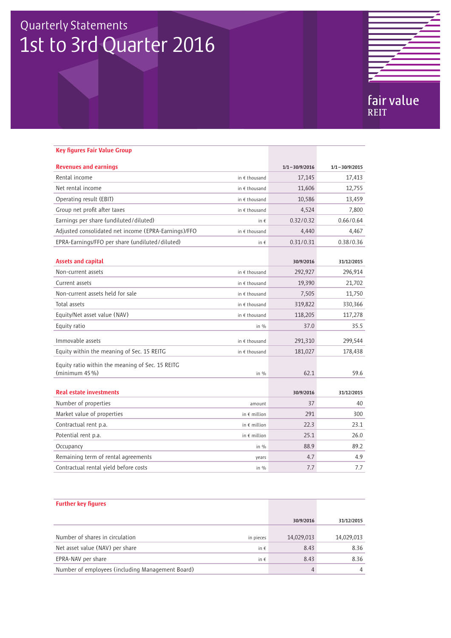# Quarterly Statements 1st to 3rd Quarter 2016



| <b>Key figures Fair Value Group</b>                                   |                        |                   |                   |
|-----------------------------------------------------------------------|------------------------|-------------------|-------------------|
| <b>Revenues and earnings</b>                                          |                        | $1/1 - 30/9/2016$ | $1/1 - 30/9/2015$ |
| Rental income                                                         | in $\epsilon$ thousand | 17,145            | 17,413            |
| Net rental income                                                     | in $\epsilon$ thousand | 11,606            | 12,755            |
| Operating result (EBIT)                                               | in $\epsilon$ thousand | 10,586            | 13,459            |
| Group net profit after taxes                                          | in $\epsilon$ thousand | 4,524             | 7,800             |
| Earnings per share (undiluted/diluted)                                | in $\epsilon$          | 0.32/0.32         | 0.66/0.64         |
| Adjusted consolidated net income (EPRA-Earnings)/FFO                  | in $\epsilon$ thousand | 4,440             | 4,467             |
| EPRA-Earnings/FFO per share (undiluted/diluted)                       | in $\epsilon$          | 0.31/0.31         | 0.38/0.36         |
| <b>Assets and capital</b>                                             |                        | 30/9/2016         | 31/12/2015        |
| Non-current assets                                                    | in $\epsilon$ thousand | 292,927           | 296,914           |
| Current assets                                                        | in $\epsilon$ thousand | 19,390            | 21,702            |
| Non-current assets held for sale                                      | in $\epsilon$ thousand | 7,505             | 11,750            |
| Total assets                                                          | in $\epsilon$ thousand | 319,822           | 330,366           |
| Equity/Net asset value (NAV)                                          | in $f$ thousand        | 118,205           | 117,278           |
| Equity ratio                                                          | in $\%$                | 37.0              | 35.5              |
| Immovable assets                                                      | in $\epsilon$ thousand | 291,310           | 299,544           |
| Equity within the meaning of Sec. 15 REITG                            | in $\epsilon$ thousand | 181,027           | 178,438           |
| Equity ratio within the meaning of Sec. 15 REITG<br>(minimum $45\%$ ) | in $%$                 | 62.1              | 59.6              |
| <b>Real estate investments</b>                                        |                        | 30/9/2016         | 31/12/2015        |
| Number of properties                                                  | amount                 | 37                | 40                |
| Market value of properties                                            | in $\epsilon$ million  | 291               | 300               |
| Contractual rent p.a.                                                 | in $\epsilon$ million  | 22.3              | 23.1              |
| Potential rent p.a.                                                   | in $\epsilon$ million  | 25.1              | 26.0              |
| Occupancy                                                             | in $\%$                | 88.9              | 89.2              |
| Remaining term of rental agreements                                   | years                  | 4.7               | 4.9               |
| Contractual rental yield before costs                                 | in $%$                 | 7.7               | 7.7               |

| <b>Further key figures</b>                       |            |            |
|--------------------------------------------------|------------|------------|
|                                                  | 30/9/2016  | 31/12/2015 |
|                                                  |            |            |
| Number of shares in circulation<br>in pieces     | 14,029,013 | 14,029,013 |
| Net asset value (NAV) per share<br>in $\epsilon$ | 8.43       | 8.36       |
| EPRA-NAV per share<br>in $\epsilon$              | 8.43       | 8.36       |
| Number of employees (including Management Board) | 4          | 4          |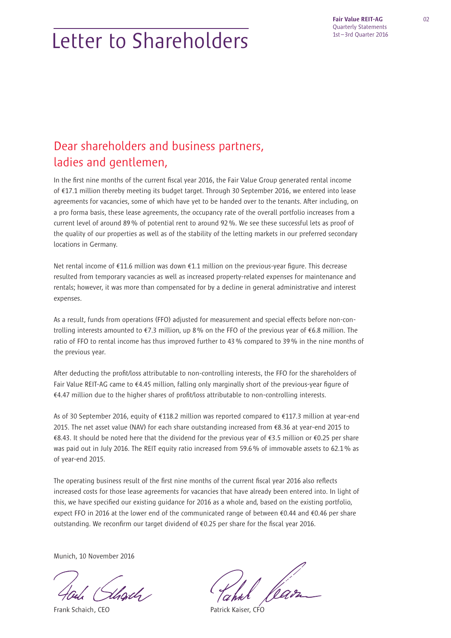# Letter to Shareholders

## Dear shareholders and business partners, ladies and gentlemen,

In the first nine months of the current fiscal year 2016, the Fair Value Group generated rental income of €17.1 million thereby meeting its budget target. Through 30 September 2016, we entered into lease agreements for vacancies, some of which have yet to be handed over to the tenants. After including, on a pro forma basis, these lease agreements, the occupancy rate of the overall portfolio increases from a current level of around 89 % of potential rent to around 92 %. We see these successful lets as proof of the quality of our properties as well as of the stability of the letting markets in our preferred secondary locations in Germany.

Net rental income of €11.6 million was down €1.1 million on the previous-year figure. This decrease resulted from temporary vacancies as well as increased property-related expenses for maintenance and rentals; however, it was more than compensated for by a decline in general administrative and interest expenses.

As a result, funds from operations (FFO) adjusted for measurement and special effects before non-controlling interests amounted to €7.3 million, up 8 % on the FFO of the previous year of €6.8 million. The ratio of FFO to rental income has thus improved further to 43 % compared to 39 % in the nine months of the previous year.

After deducting the profit/loss attributable to non-controlling interests, the FFO for the shareholders of Fair Value REIT-AG came to  $\epsilon$ 4.45 million, falling only marginally short of the previous-year figure of  $€4.47$  million due to the higher shares of profit/loss attributable to non-controlling interests.

As of 30 September 2016, equity of €118.2 million was reported compared to €117.3 million at year-end 2015. The net asset value (NAV) for each share outstanding increased from €8.36 at year-end 2015 to €8.43. It should be noted here that the dividend for the previous year of €3.5 million or €0.25 per share was paid out in July 2016. The REIT equity ratio increased from 59.6 % of immovable assets to 62.1 % as of year-end 2015.

The operating business result of the first nine months of the current fiscal year 2016 also reflects increased costs for those lease agreements for vacancies that have already been entered into. In light of this, we have specified our existing quidance for 2016 as a whole and, based on the existing portfolio, expect FFO in 2016 at the lower end of the communicated range of between €0.44 and €0.46 per share outstanding. We reconfirm our target dividend of  $60.25$  per share for the fiscal year 2016.

Munich, 10 November 2016

.<br>Uscils /

Frank Schaich, CEO **Patrick Kaiser, CFO**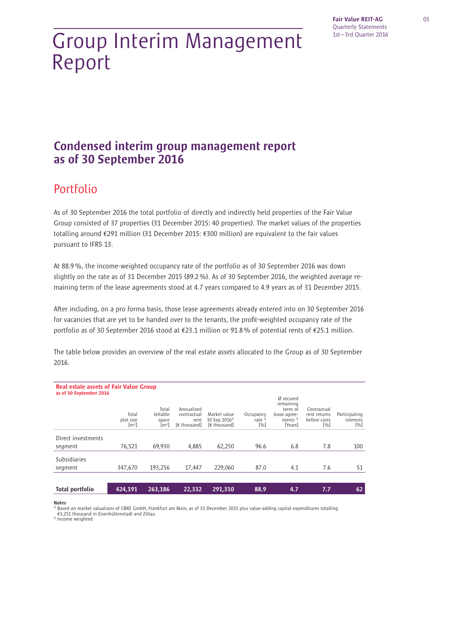# Group Interim Management Report

## Condensed interim group management report as of 30 September 2016

## Portfolio

As of 30 September 2016 the total portfolio of directly and indirectly held properties of the Fair Value Group consisted of 37 properties (31 December 2015: 40 properties). The market values of the properties totalling around €291 million (31 December 2015: €300 million) are equivalent to the fair values pursuant to IFRS 13.

At 88.9 %, the income-weighted occupancy rate of the portfolio as of 30 September 2016 was down slightly on the rate as of 31 December 2015 (89.2 %). As of 30 September 2016, the weighted average remaining term of the lease agreements stood at 4.7 years compared to 4.9 years as of 31 December 2015.

After including, on a pro forma basis, those lease agreements already entered into on 30 September 2016 for vacancies that are yet to be handed over to the tenants, the profit-weighted occupancy rate of the portfolio as of 30 September 2016 stood at €23.1 million or 91.8 % of potential rents of €25.1 million.

The table below provides an overview of the real estate assets allocated to the Group as of 30 September 2016.

| <b>Real estate assets of Fair Value Group</b><br>as of 30 September 2016 |                                         |                                           |                                                   |                                                           |                                  |                                                                           |                                                    |                                   |
|--------------------------------------------------------------------------|-----------------------------------------|-------------------------------------------|---------------------------------------------------|-----------------------------------------------------------|----------------------------------|---------------------------------------------------------------------------|----------------------------------------------------|-----------------------------------|
|                                                                          | Total<br>plot size<br>[m <sup>2</sup> ] | Total<br>lettable<br>space<br>$\rm{[m2]}$ | Annualized<br>contractual<br>rent<br>[€ thousand] | Market value<br>30 Sep 2016 <sup>1)</sup><br>[€ thousand] | Occupancy<br>rate $^{2)}$<br>[%] | Ø secured<br>remaining<br>term of<br>lease agree-<br>ments $2$<br>[Years] | Contractual<br>rent returns<br>before costs<br>[%] | Participating<br>interests<br>[%] |
| Direct investments                                                       |                                         |                                           |                                                   |                                                           |                                  |                                                                           |                                                    |                                   |
| segment                                                                  | 76.521                                  | 69.930                                    | 4,885                                             | 62.250                                                    | 96.6                             | 6.8                                                                       | 7.8                                                | 100                               |
| <b>Subsidiaries</b><br>segment                                           | 347.670                                 | 193.256                                   | 17.447                                            | 229.060                                                   | 87.0                             | 4.1                                                                       | 7.6                                                | 51                                |
|                                                                          |                                         |                                           |                                                   |                                                           |                                  |                                                                           |                                                    |                                   |
| Total portfolio                                                          | 424,191                                 | 263,186                                   | 22,332                                            | 291,310                                                   | 88.9                             | 4.7                                                                       | 7.7                                                | 62                                |

#### Notes

1) Based on market valuations of CBRE GmbH, Frankfurt am Main, as of 31 December 2015 plus value-adding capital expenditures totalling €3,251 thousand in Eisenhüttenstadt and Zittau 2) Income weighted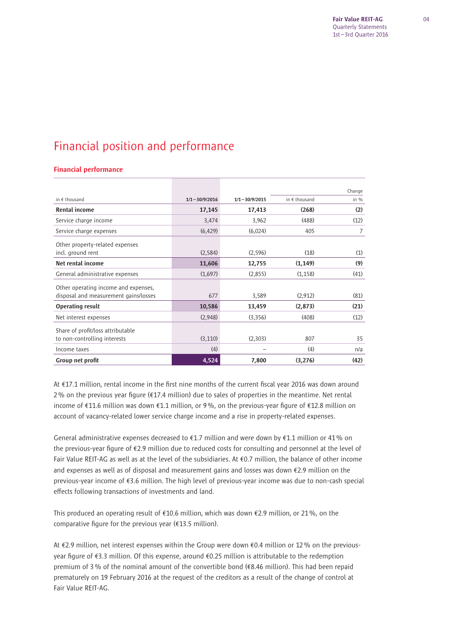## Financial position and performance

### Financial performance

|                                                                               |                   |                   |               | Change  |
|-------------------------------------------------------------------------------|-------------------|-------------------|---------------|---------|
| in $f$ thousand                                                               | $1/1 - 30/9/2016$ | $1/1 - 30/9/2015$ | in € thousand | in $\%$ |
| <b>Rental income</b>                                                          | 17,145            | 17,413            | (268)         | (2)     |
| Service charge income                                                         | 3,474             | 3,962             | (488)         | (12)    |
| Service charge expenses                                                       | (6, 429)          | (6,024)           | 405           | 7       |
| Other property-related expenses<br>incl. ground rent                          | (2,584)           | (2,596)           | (18)          | (1)     |
| Net rental income                                                             | 11,606            | 12,755            | (1, 149)      | (9)     |
| General administrative expenses                                               | (1,697)           | (2,855)           | (1, 158)      | (41)    |
| Other operating income and expenses,<br>disposal and measurement gains/losses | 677               | 3,589             | (2,912)       | (81)    |
| <b>Operating result</b>                                                       | 10,586            | 13,459            | (2,873)       | (21)    |
| Net interest expenses                                                         | (2,948)           | (3,356)           | (408)         | (12)    |
| Share of profit/loss attributable<br>to non-controlling interests             | (3, 110)          | (2,303)           | 807           | 35      |
| Income taxes                                                                  | (4)               |                   | (4)           | n/a     |
| Group net profit                                                              | 4,524             | 7,800             | (3,276)       | (42)    |

At €17.1 million, rental income in the first nine months of the current fiscal year 2016 was down around 2% on the previous year figure ( $\epsilon$ 17.4 million) due to sales of properties in the meantime. Net rental income of €11.6 million was down €1.1 million, or 9%, on the previous-year figure of €12.8 million on account of vacancy-related lower service charge income and a rise in property-related expenses.

General administrative expenses decreased to  $\epsilon$ 1.7 million and were down by  $\epsilon$ 1.1 million or 41% on the previous-year figure of  $E$ 2.9 million due to reduced costs for consulting and personnel at the level of Fair Value REIT-AG as well as at the level of the subsidiaries. At €0.7 million, the balance of other income and expenses as well as of disposal and measurement gains and losses was down €2.9 million on the previous-year income of €3.6 million. The high level of previous-year income was due to non-cash special effects following transactions of investments and land.

This produced an operating result of €10.6 million, which was down €2.9 million, or 21 %, on the comparative figure for the previous year ( $£13.5$  million).

At €2.9 million, net interest expenses within the Group were down €0.4 million or 12 % on the previousyear figure of  $\epsilon$ 3.3 million. Of this expense, around  $\epsilon$ 0.25 million is attributable to the redemption premium of 3 % of the nominal amount of the convertible bond (€8.46 million). This had been repaid prematurely on 19 February 2016 at the request of the creditors as a result of the change of control at Fair Value REIT-AG.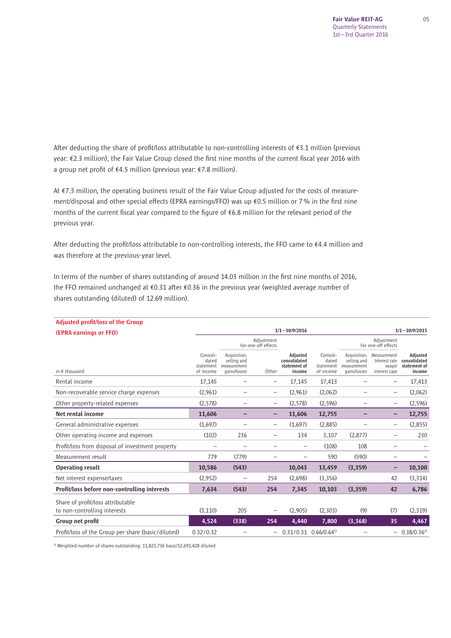After deducting the share of profit/loss attributable to non-controlling interests of €3.1 million (previous year: €2.3 million), the Fair Value Group closed the first nine months of the current fiscal year 2016 with a group net profit of €4.5 million (previous year: €7.8 million).

At €7.3 million, the operating business result of the Fair Value Group adjusted for the costs of measurement/disposal and other special effects (EPRA earnings/FFO) was up  $\epsilon$ 0.5 million or 7% in the first nine months of the current fiscal year compared to the figure of  $€6.8$  million for the relevant period of the previous year.

After deducting the profit/loss attributable to non-controlling interests, the FFO came to  $\epsilon$ 4.4 million and was therefore at the previous-year level.

In terms of the number of shares outstanding of around 14.03 million in the first nine months of 2016, the FFO remained unchanged at  $\epsilon$ 0.31 after  $\epsilon$ 0.36 in the previous year (weighted average number of shares outstanding (diluted) of 12.69 million).

| <b>Adjusted profit/loss of the Group</b>                          |                                             |                                                            |                                   |                                                    |                                             |                                                            |                                                         |                                                    |
|-------------------------------------------------------------------|---------------------------------------------|------------------------------------------------------------|-----------------------------------|----------------------------------------------------|---------------------------------------------|------------------------------------------------------------|---------------------------------------------------------|----------------------------------------------------|
| <b>(EPRA earnings or FFO)</b>                                     |                                             | $1/1 - 30/9/2016$                                          |                                   |                                                    |                                             |                                                            |                                                         |                                                    |
|                                                                   |                                             |                                                            | Adjustment<br>for one-off effects |                                                    |                                             | Adjustment<br>for one-off effects                          |                                                         |                                                    |
| in € thousand                                                     | Consoli-<br>dated<br>statement<br>of income | Acquisition.<br>selling and<br>measurement<br>qains/losses | Other                             | Adiusted<br>consolidated<br>statement of<br>income | Consoli-<br>dated<br>statement<br>of income | Acquisition,<br>selling and<br>measurement<br>gains/losses | Measurement<br>Interest rate<br>swaps/<br>interest caps | Adiusted<br>consolidated<br>statement of<br>income |
| Rental income                                                     | 17,145                                      | -                                                          | $\overline{\phantom{0}}$          | 17,145                                             | 17,413                                      |                                                            | $\qquad \qquad -$                                       | 17,413                                             |
| Non-recoverable service charge expenses                           | (2,961)                                     | -                                                          | -                                 | (2,961)                                            | (2,062)                                     |                                                            | $\overline{\phantom{0}}$                                | (2,062)                                            |
| Other property-related expenses                                   | (2, 578)                                    | -                                                          | $\overline{\phantom{0}}$          | (2, 578)                                           | (2, 596)                                    |                                                            | $\qquad \qquad -$                                       | (2, 596)                                           |
| Net rental income                                                 | 11,606                                      |                                                            | -                                 | 11,606                                             | 12,755                                      |                                                            | -                                                       | 12,755                                             |
| General administrative expenses                                   | (1,697)                                     | -                                                          | $\overline{\phantom{0}}$          | (1,697)                                            | (2,885)                                     |                                                            | $\overline{\phantom{0}}$                                | (2,855)                                            |
| Other operating income and expenses                               | (102)                                       | 236                                                        | —                                 | 134                                                | 3,107                                       | (2,877)                                                    | $\qquad \qquad -$                                       | 230                                                |
| Profit/loss from disposal of investment property                  |                                             |                                                            |                                   | $\overline{\phantom{0}}$                           | (108)                                       | 108                                                        |                                                         |                                                    |
| Measurement result                                                | 779                                         | (779)                                                      | -                                 | $\overline{\phantom{0}}$                           | 590                                         | (590)                                                      | $\overline{\phantom{0}}$                                |                                                    |
| <b>Operating result</b>                                           | 10,586                                      | (543)                                                      |                                   | 10,043                                             | 13,459                                      | (3, 359)                                                   | -                                                       | 10,100                                             |
| Net interest expense/taxes                                        | (2,952)                                     | $\overline{\phantom{0}}$                                   | 254                               | (2,698)                                            | (3,356)                                     |                                                            | 42                                                      | (3,314)                                            |
| Profit/loss before non-controlling interests                      | 7,634                                       | (543)                                                      | 254                               | 7,345                                              | 10,103                                      | (3, 359)                                                   | 42                                                      | 6,786                                              |
| Share of profit/loss attributable<br>to non-controlling interests | (3, 110)                                    | 205                                                        |                                   | (2,905)                                            | (2,303)                                     | (9)                                                        | (7)                                                     | (2,319)                                            |
| Group net profit                                                  | 4,524                                       | (338)                                                      | 254                               | 4,440                                              | 7,800                                       | (3,368)                                                    | 35                                                      | 4,467                                              |
| Profit/loss of the Group per share (basic/diluted)                | 0.32/0.32                                   |                                                            | -                                 |                                                    | $0.31/0.31$ $0.66/0.64$ <sup>1)</sup>       |                                                            |                                                         | $-0.38/0.36^{1}$                                   |

<sup>1)</sup> Weighted number of shares outstanding: 11,823,736 basic/12,691,428 diluted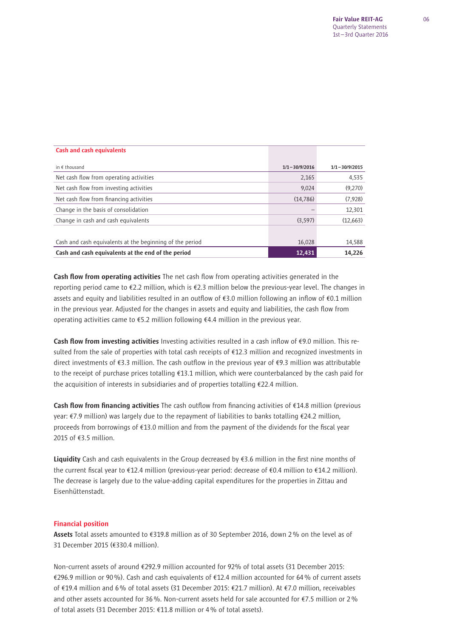| <b>Cash and cash equivalents</b>                         |                   |                   |
|----------------------------------------------------------|-------------------|-------------------|
| in $f$ thousand                                          | $1/1 - 30/9/2016$ | $1/1 - 30/9/2015$ |
| Net cash flow from operating activities                  | 2,165             | 4,535             |
| Net cash flow from investing activities                  | 9,024             | (9,270)           |
| Net cash flow from financing activities                  | (14, 786)         | (7,928)           |
| Change in the basis of consolidation                     |                   | 12,301            |
| Change in cash and cash equivalents                      | (3, 597)          | (12,663)          |
|                                                          |                   |                   |
| Cash and cash equivalents at the beginning of the period | 16,028            | 14,588            |
| Cash and cash equivalents at the end of the period       | 12,431            | 14,226            |

Cash flow from operating activities The net cash flow from operating activities generated in the reporting period came to €2.2 million, which is €2.3 million below the previous-year level. The changes in assets and equity and liabilities resulted in an outflow of  $\epsilon$ 3.0 million following an inflow of  $\epsilon$ 0.1 million in the previous year. Adjusted for the changes in assets and equity and liabilities, the cash flow from operating activities came to €5.2 million following €4.4 million in the previous year.

Cash flow from investing activities Investing activities resulted in a cash inflow of  $€9.0$  million. This resulted from the sale of properties with total cash receipts of €12.3 million and recognized investments in direct investments of  $\xi$ 3.3 million. The cash outflow in the previous year of  $\xi$ 9.3 million was attributable to the receipt of purchase prices totalling €13.1 million, which were counterbalanced by the cash paid for the acquisition of interests in subsidiaries and of properties totalling €22.4 million.

Cash flow from financing activities The cash outflow from financing activities of  $\epsilon$ 14.8 million (previous year: €7.9 million) was largely due to the repayment of liabilities to banks totalling €24.2 million, proceeds from borrowings of  $£13.0$  million and from the payment of the dividends for the fiscal year 2015 of €3.5 million.

Liquidity Cash and cash equivalents in the Group decreased by  $€3.6$  million in the first nine months of the current fiscal year to €12.4 million (previous-year period: decrease of €0.4 million to €14.2 million). The decrease is largely due to the value-adding capital expenditures for the properties in Zittau and Eisenhüttenstadt.

#### Financial position

Assets Total assets amounted to €319.8 million as of 30 September 2016, down 2% on the level as of 31 December 2015 (€330.4 million).

Non-current assets of around €292.9 million accounted for 92% of total assets (31 December 2015: €296.9 million or 90 %). Cash and cash equivalents of €12.4 million accounted for 64 % of current assets of €19.4 million and 6 % of total assets (31 December 2015: €21.7 million). At €7.0 million, receivables and other assets accounted for 36 %. Non-current assets held for sale accounted for €7.5 million or 2 % of total assets (31 December 2015: €11.8 million or 4 % of total assets).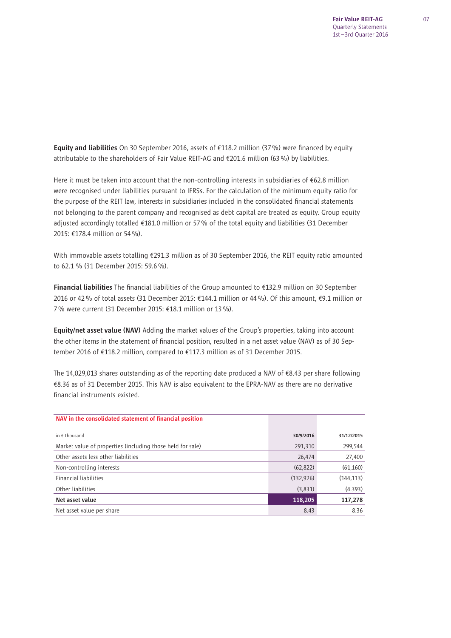Equity and liabilities On 30 September 2016, assets of  $\epsilon$ 118.2 million (37%) were financed by equity attributable to the shareholders of Fair Value REIT-AG and €201.6 million (63 %) by liabilities.

Here it must be taken into account that the non-controlling interests in subsidiaries of  $\epsilon$ 62.8 million were recognised under liabilities pursuant to IFRSs. For the calculation of the minimum equity ratio for the purpose of the REIT law, interests in subsidiaries included in the consolidated financial statements not belonging to the parent company and recognised as debt capital are treated as equity. Group equity adjusted accordingly totalled €181.0 million or 57 % of the total equity and liabilities (31 December 2015: €178.4 million or 54 %).

With immovable assets totalling €291.3 million as of 30 September 2016, the REIT equity ratio amounted to 62.1 % (31 December 2015: 59.6 %).

Financial liabilities The financial liabilities of the Group amounted to €132.9 million on 30 September 2016 or 42 % of total assets (31 December 2015: €144.1 million or 44 %). Of this amount, €9.1 million or 7 % were current (31 December 2015: €18.1 million or 13 %).

Equity/net asset value (NAV) Adding the market values of the Group's properties, taking into account the other items in the statement of financial position, resulted in a net asset value (NAV) as of 30 September 2016 of €118.2 million, compared to €117.3 million as of 31 December 2015.

The 14,029,013 shares outstanding as of the reporting date produced a NAV of €8.43 per share following €8.36 as of 31 December 2015. This NAV is also equivalent to the EPRA-NAV as there are no derivative financial instruments existed.

| NAV in the consolidated statement of financial position    |            |            |
|------------------------------------------------------------|------------|------------|
| in $f$ thousand                                            | 30/9/2016  | 31/12/2015 |
| Market value of properties (including those held for sale) | 291,310    | 299,544    |
| Other assets less other liabilities                        | 26,474     | 27,400     |
| Non-controlling interests                                  | (62, 822)  | (61, 160)  |
| <b>Financial liabilities</b>                               | (132, 926) | (144, 113) |
| Other liabilities                                          | (3,831)    | (4.393)    |
| Net asset value                                            | 118,205    | 117,278    |
| Net asset value per share                                  | 8.43       | 8.36       |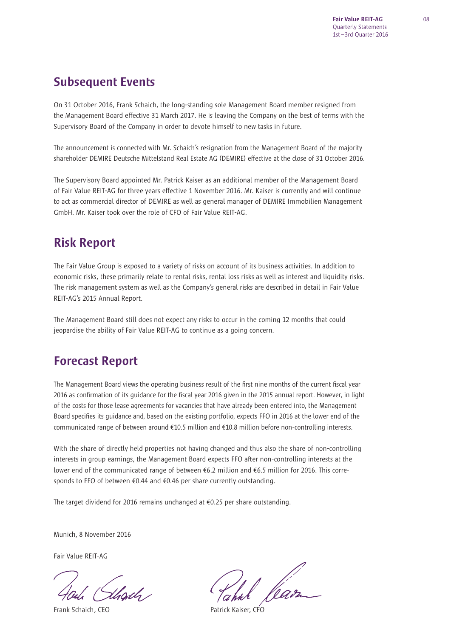## Subsequent Events

On 31 October 2016, Frank Schaich, the long-standing sole Management Board member resigned from the Management Board effective 31 March 2017. He is leaving the Company on the best of terms with the Supervisory Board of the Company in order to devote himself to new tasks in future.

The announcement is connected with Mr. Schaich's resignation from the Management Board of the majority shareholder DEMIRE Deutsche Mittelstand Real Estate AG (DEMIRE) effective at the close of 31 October 2016.

The Supervisory Board appointed Mr. Patrick Kaiser as an additional member of the Management Board of Fair Value REIT-AG for three vears effective 1 November 2016. Mr. Kaiser is currently and will continue to act as commercial director of DEMIRE as well as general manager of DEMIRE Immobilien Management GmbH. Mr. Kaiser took over the role of CFO of Fair Value REIT-AG.

## Risk Report

The Fair Value Group is exposed to a variety of risks on account of its business activities. In addition to economic risks, these primarily relate to rental risks, rental loss risks as well as interest and liquidity risks. The risk management system as well as the Company's general risks are described in detail in Fair Value REIT-AG's 2015 Annual Report.

The Management Board still does not expect any risks to occur in the coming 12 months that could jeopardise the ability of Fair Value REIT-AG to continue as a going concern.

## Forecast Report

The Management Board views the operating business result of the first nine months of the current fiscal year 2016 as confirmation of its guidance for the fiscal year 2016 given in the 2015 annual report. However, in light of the costs for those lease agreements for vacancies that have already been entered into, the Management Board specifies its quidance and, based on the existing portfolio, expects FFO in 2016 at the lower end of the communicated range of between around €10.5 million and €10.8 million before non-controlling interests.

With the share of directly held properties not having changed and thus also the share of non-controlling interests in group earnings, the Management Board expects FFO after non-controlling interests at the lower end of the communicated range of between €6.2 million and €6.5 million for 2016. This corresponds to FFO of between €0.44 and €0.46 per share currently outstanding.

The target dividend for 2016 remains unchanged at €0.25 per share outstanding.

Munich, 8 November 2016

Fair Value REIT-AG

.<br>Uhoidh /

Frank Schaich, CEO **Patrick Kaiser, CFO**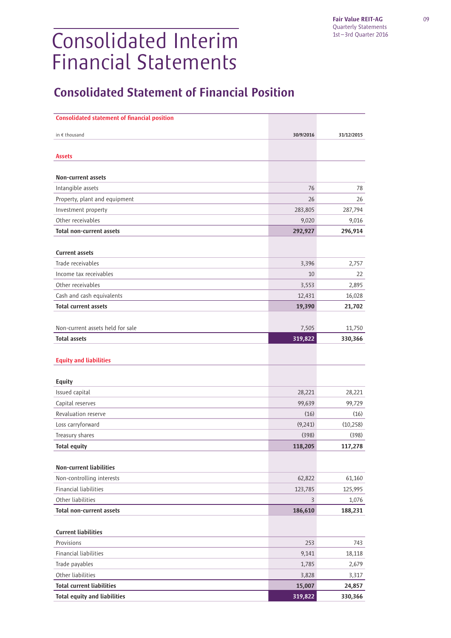# Consolidated Interim Financial Statements

## Consolidated Statement of Financial Position

| <b>Consolidated statement of financial position</b> |                 |                   |
|-----------------------------------------------------|-----------------|-------------------|
|                                                     |                 |                   |
| in € thousand                                       | 30/9/2016       | 31/12/2015        |
| <b>Assets</b>                                       |                 |                   |
|                                                     |                 |                   |
| Non-current assets                                  |                 |                   |
| Intangible assets                                   | 76              | 78                |
| Property, plant and equipment                       | 26              | 26                |
| Investment property                                 | 283,805         | 287,794           |
| Other receivables                                   | 9,020           | 9,016             |
| <b>Total non-current assets</b>                     | 292,927         | 296,914           |
|                                                     |                 |                   |
| <b>Current assets</b>                               |                 |                   |
| Trade receivables                                   | 3,396           | 2,757             |
| Income tax receivables                              | 10              | 22                |
| Other receivables                                   | 3,553           | 2,895             |
| Cash and cash equivalents                           | 12,431          | 16,028            |
| <b>Total current assets</b>                         | 19,390          | 21,702            |
|                                                     |                 |                   |
| Non-current assets held for sale                    | 7,505           | 11,750            |
| <b>Total assets</b>                                 | 319,822         | 330,366           |
|                                                     |                 |                   |
| <b>Equity and liabilities</b>                       |                 |                   |
|                                                     |                 |                   |
| Equity                                              |                 |                   |
| Issued capital                                      | 28,221          | 28,221            |
| Capital reserves                                    | 99,639          | 99,729            |
| Revaluation reserve                                 | (16)            | (16)              |
| Loss carryforward                                   | (9,241)         | (10, 258)         |
| Treasury shares                                     | (398)           | (398)             |
| <b>Total equity</b>                                 | 118,205         | 117,278           |
|                                                     |                 |                   |
| <b>Non-current liabilities</b>                      |                 |                   |
| Non-controlling interests                           | 62,822          | 61,160            |
| <b>Financial liabilities</b>                        | 123,785         | 125,995           |
| Other liabilities                                   | $\overline{3}$  | 1,076             |
| <b>Total non-current assets</b>                     | 186,610         | 188,231           |
| <b>Current liabilities</b>                          |                 |                   |
|                                                     |                 |                   |
| Provisions<br><b>Financial liabilities</b>          | 253             | 743               |
| Trade payables                                      | 9,141           | 18,118            |
| Other liabilities                                   | 1,785           | 2,679             |
| <b>Total current liabilities</b>                    | 3,828<br>15,007 | 3,317             |
| <b>Total equity and liabilities</b>                 | 319,822         | 24,857<br>330,366 |
|                                                     |                 |                   |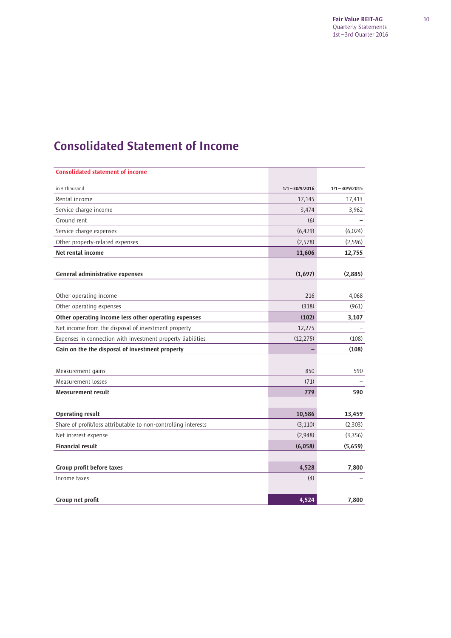## Consolidated Statement of Income

| <b>Consolidated statement of income</b>                        |                   |                   |
|----------------------------------------------------------------|-------------------|-------------------|
| in € thousand                                                  | $1/1 - 30/9/2016$ | $1/1 - 30/9/2015$ |
| Rental income                                                  | 17,145            | 17,413            |
| Service charge income                                          | 3,474             | 3,962             |
| Ground rent                                                    | (6)               |                   |
| Service charge expenses                                        | (6, 429)          | (6,024)           |
| Other property-related expenses                                | (2, 578)          | (2, 596)          |
| Net rental income                                              | 11,606            | 12,755            |
|                                                                |                   |                   |
| <b>General administrative expenses</b>                         | (1,697)           | (2,885)           |
|                                                                |                   |                   |
| Other operating income                                         | 216               | 4,068             |
| Other operating expenses                                       | (318)             | (961)             |
| Other operating income less other operating expenses           | (102)             | 3,107             |
| Net income from the disposal of investment property            | 12,275            |                   |
| Expenses in connection with investment property liabilities    | (12, 275)         | (108)             |
| Gain on the the disposal of investment property                |                   | (108)             |
|                                                                |                   |                   |
| Measurement gains                                              | 850               | 590               |
| Measurement losses                                             | (71)              |                   |
| Measurement result                                             | 779               | 590               |
|                                                                |                   |                   |
| <b>Operating result</b>                                        | 10,586            | 13,459            |
| Share of profit/loss attributable to non-controlling interests | (3, 110)          | (2,303)           |
| Net interest expense                                           | (2,948)           | (3,356)           |
| <b>Financial result</b>                                        | (6,058)           | (5,659)           |
|                                                                |                   |                   |
| Group profit before taxes                                      | 4,528             | 7,800             |
| Income taxes                                                   | (4)               |                   |
|                                                                |                   |                   |
| Group net profit                                               | 4,524             | 7,800             |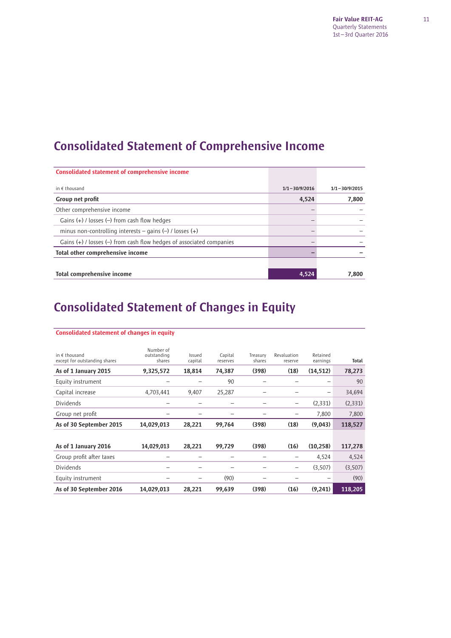Fair Value REIT-AG Quarterly Statements 1st – 3rd Quarter 2016

## Consolidated Statement of Comprehensive Income

| <b>Consolidated statement of comprehensive income</b>                    |                   |                   |
|--------------------------------------------------------------------------|-------------------|-------------------|
| in $f$ thousand                                                          | $1/1 - 30/9/2016$ | $1/1 - 30/9/2015$ |
| Group net profit                                                         | 4,524             | 7,800             |
| Other comprehensive income                                               |                   |                   |
| Gains $(+)$ / losses $(-)$ from cash flow hedges                         |                   |                   |
| minus non-controlling interests – gains $(-)$ / losses $(+)$             |                   |                   |
| Gains $(+)$ / losses $(-)$ from cash flow hedges of associated companies |                   |                   |
| Total other comprehensive income                                         |                   |                   |
|                                                                          |                   |                   |
| Total comprehensive income                                               | 4,524             | 7,800             |

## Consolidated Statement of Changes in Equity

| in $f$ thousand<br>except for outstanding shares | Number of<br>outstanding<br>shares | Issued<br>capital | Capital<br>reserves | Treasury<br>shares       | Revaluation<br>reserve | Retained<br>earnings | Total   |
|--------------------------------------------------|------------------------------------|-------------------|---------------------|--------------------------|------------------------|----------------------|---------|
| As of 1 January 2015                             | 9,325,572                          | 18,814            | 74,387              | (398)                    | (18)                   | (14, 512)            | 78,273  |
| Equity instrument                                |                                    |                   | 90                  |                          |                        | -                    | 90      |
| Capital increase                                 | 4,703,441                          | 9,407             | 25,287              | $\overline{\phantom{0}}$ |                        | -                    | 34,694  |
| Dividends                                        |                                    |                   |                     |                          | -                      | (2,331)              | (2,331) |
| Group net profit                                 |                                    |                   |                     |                          | -                      | 7,800                | 7,800   |
|                                                  |                                    |                   |                     |                          |                        |                      |         |
| As of 30 September 2015                          | 14,029,013                         | 28,221            | 99,764              | (398)                    | (18)                   | (9,043)              | 118,527 |
|                                                  |                                    |                   |                     |                          |                        |                      |         |
| As of 1 January 2016                             | 14,029,013                         | 28,221            | 99,729              | (398)                    | (16)                   | (10, 258)            | 117,278 |
| Group profit after taxes                         |                                    |                   |                     |                          | -                      | 4,524                | 4,524   |
| Dividends                                        |                                    |                   |                     |                          |                        | (3,507)              | (3,507) |
| Equity instrument                                |                                    |                   | (90)                | $\overline{\phantom{0}}$ |                        |                      | (90)    |

#### Consolidated statement of changes in equity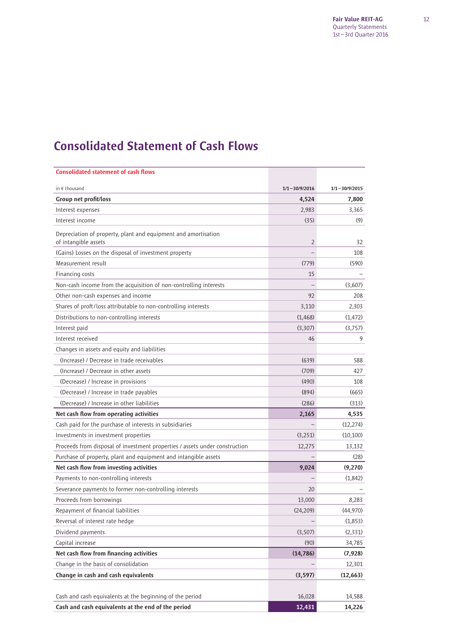## Consolidated Statement of Cash Flows

| <b>Consolidated statement of cash flows</b>                                            |                   |                   |
|----------------------------------------------------------------------------------------|-------------------|-------------------|
| in $\epsilon$ thousand                                                                 | $1/1 - 30/9/2016$ | $1/1 - 30/9/2015$ |
| Group net profit/loss                                                                  | 4,524             | 7,800             |
| Interest expenses                                                                      | 2,983             | 3,365             |
| Interest income                                                                        | (35)              | (9)               |
| Depreciation of property, plant and equipment and amortisation<br>of intangible assets | $\overline{2}$    | 32                |
| (Gains) Losses on the disposal of investment property                                  |                   | 108               |
| Measurement result                                                                     | (779)             | (590)             |
| Financing costs                                                                        | 15                |                   |
| Non-cash income from the acquisition of non-controlling interests                      |                   | (3,607)           |
| Other non-cash expenses and income                                                     | 92                | 208               |
| Shares of proft/loss attributable to non-controlling interests                         | 3,110             | 2,303             |
| Distributions to non-controlling interests                                             | (1, 468)          | (1, 472)          |
| Interest paid                                                                          | (3,307)           | (3,757)           |
| Interest received                                                                      | 46                | 9                 |
| Changes in assets and equity and liabilities                                           |                   |                   |
| (Increase) / Decrease in trade receivables                                             | (639)             | 588               |
| (Increase) / Decrease in other assets                                                  | (709)             | 427               |
| (Decrease) / Increase in provisions                                                    | (490)             | 108               |
| (Decrease) / Increase in trade payables                                                | (894)             | (665)             |
| (Decrease) / Increase in other liabilities                                             | (286)             | (313)             |
| Net cash flow from operating activities                                                | 2,165             | 4,535             |
| Cash paid for the purchase of interests in subsidiaries                                |                   | (12, 274)         |
| Investments in investment properties                                                   | (3,251)           | (10, 100)         |
| Proceeds from disposal of investment properties / assets under construction            | 12,275            | 13,132            |
| Purchase of property, plant and equipment and intangible assets                        |                   | (28)              |
| Net cash flow from investing activities                                                | 9,024             | (9,270)           |
| Payments to non-controlling interests                                                  |                   | (1,842)           |
| Severance payments to former non-controlling interests                                 | 20                |                   |
| Proceeds from borrowings                                                               | 13,000            | 8,283             |
| Repayment of financial liabilities                                                     | (24, 209)         | (44,970)          |
| Reversal of interest rate hedge                                                        |                   | (1,853)           |
| Dividend payments                                                                      | (3,507)           | (2, 331)          |
| Capital increase                                                                       | (90)              | 34,785            |
| Net cash flow from financing activities                                                | (14, 786)         | (7, 928)          |
| Change in the basis of consolidation                                                   |                   | 12,301            |
| Change in cash and cash equivalents                                                    | (3, 597)          | (12,663)          |
|                                                                                        |                   |                   |
| Cash and cash equivalents at the beginning of the period                               | 16,028            | 14,588            |
| Cash and cash equivalents at the end of the period                                     | 12,431            | 14,226            |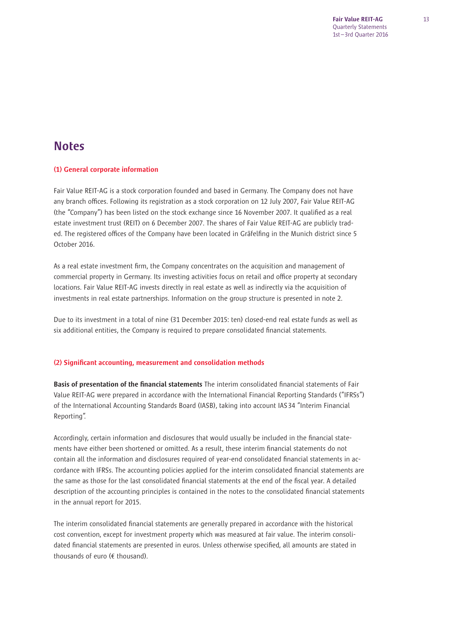## **Notes**

## (1) General corporate information

Fair Value REIT-AG is a stock corporation founded and based in Germany. The Company does not have any branch offices. Following its registration as a stock corporation on 12 July 2007, Fair Value REIT-AG (the "Company") has been listed on the stock exchange since 16 November 2007. It qualified as a real estate investment trust (REIT) on 6 December 2007. The shares of Fair Value REIT-AG are publicly traded. The registered offices of the Company have been located in Gräfelfing in the Munich district since 5 October 2016.

As a real estate investment firm, the Company concentrates on the acquisition and management of commercial property in Germany. Its investing activities focus on retail and office property at secondary locations. Fair Value REIT-AG invests directly in real estate as well as indirectly via the acquisition of investments in real estate partnerships. Information on the group structure is presented in note 2.

Due to its investment in a total of nine (31 December 2015: ten) closed-end real estate funds as well as six additional entities, the Company is required to prepare consolidated financial statements.

### (2) Significant accounting, measurement and consolidation methods

Basis of presentation of the financial statements The interim consolidated financial statements of Fair Value REIT-AG were prepared in accordance with the International Financial Reporting Standards ("IFRSs") of the International Accounting Standards Board (IASB), taking into account IAS 34 "Interim Financial Reporting".

Accordingly, certain information and disclosures that would usually be included in the financial statements have either been shortened or omitted. As a result, these interim financial statements do not contain all the information and disclosures required of year-end consolidated financial statements in accordance with IFRSs. The accounting policies applied for the interim consolidated financial statements are the same as those for the last consolidated financial statements at the end of the fiscal year. A detailed description of the accounting principles is contained in the notes to the consolidated financial statements in the annual report for 2015.

The interim consolidated financial statements are generally prepared in accordance with the historical cost convention, except for investment property which was measured at fair value. The interim consolidated financial statements are presented in euros. Unless otherwise specified, all amounts are stated in thousands of euro (€ thousand).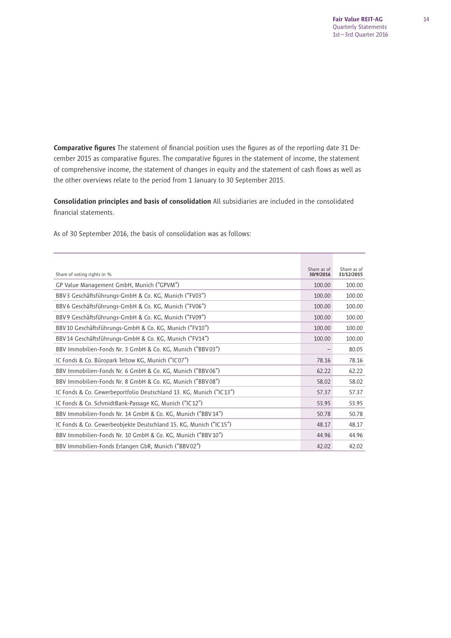Comparative figures The statement of financial position uses the figures as of the reporting date 31 December 2015 as comparative figures. The comparative figures in the statement of income, the statement of comprehensive income, the statement of changes in equity and the statement of cash flows as well as the other overviews relate to the period from 1 January to 30 September 2015.

Consolidation principles and basis of consolidation All subsidiaries are included in the consolidated financial statements.

As of 30 September 2016, the basis of consolidation was as follows:

| Share of voting rights in %                                         | Share as of<br>30/9/2016 | Share as of<br>31/12/2015 |
|---------------------------------------------------------------------|--------------------------|---------------------------|
| GP Value Management GmbH, Munich ("GPVM")                           | 100.00                   | 100.00                    |
| BBV3 Geschäftsführungs-GmbH & Co. KG, Munich ("FV03")               | 100.00                   | 100.00                    |
| BBV 6 Geschäftsführungs-GmbH & Co. KG, Munich ("FV06")              | 100.00                   | 100.00                    |
| BBV9 Geschäftsführungs-GmbH & Co. KG, Munich ("FV09")               | 100.00                   | 100.00                    |
| BBV 10 Geschäftsführungs-GmbH & Co. KG, Munich ("FV10")             | 100.00                   | 100.00                    |
| BBV 14 Geschäftsführungs-GmbH & Co. KG, Munich ("FV14")             | 100.00                   | 100.00                    |
| BBV Immobilien-Fonds Nr. 3 GmbH & Co. KG, Munich ("BBV03")          |                          | 80.05                     |
| IC Fonds & Co. Büropark Teltow KG, Munich ("IC07")                  | 78.16                    | 78.16                     |
| BBV Immobilien-Fonds Nr. 6 GmbH & Co. KG, Munich ("BBV06")          | 62.22                    | 62.22                     |
| BBV Immobilien-Fonds Nr. 8 GmbH & Co. KG, Munich ("BBV08")          | 58.02                    | 58.02                     |
| IC Fonds & Co. Gewerbeportfolio Deutschland 13. KG, Munich ("IC13") | 57.37                    | 57.37                     |
| IC Fonds & Co. SchmidtBank-Passage KG, Munich ("IC12")              | 53.95                    | 53.95                     |
| BBV Immobilien-Fonds Nr. 14 GmbH & Co. KG, Munich ("BBV 14")        | 50.78                    | 50.78                     |
| IC Fonds & Co. Gewerbeobjekte Deutschland 15. KG, Munich ("IC15")   | 48.17                    | 48.17                     |
| BBV Immobilien-Fonds Nr. 10 GmbH & Co. KG, Munich ("BBV 10")        | 44.96                    | 44.96                     |
| BBV Immobilien-Fonds Erlangen GbR, Munich ("BBV02")                 | 42.02                    | 42.02                     |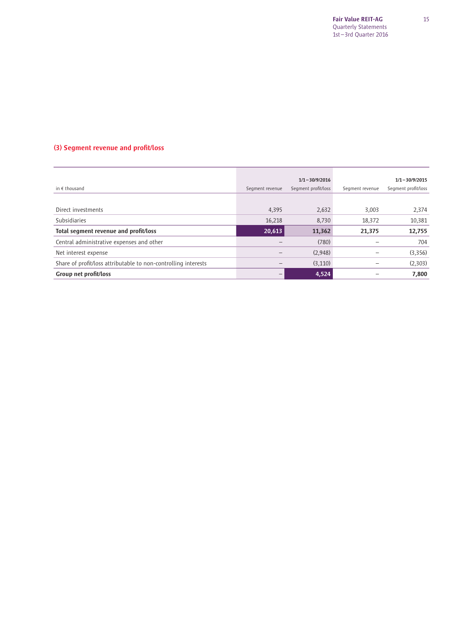## (3) Segment revenue and profit/loss

|                                                                |                 | $1/1 - 30/9/2016$   |                 | $1/1 - 30/9/2015$   |
|----------------------------------------------------------------|-----------------|---------------------|-----------------|---------------------|
| in $\epsilon$ thousand                                         | Segment revenue | Segment profit/loss | Segment revenue | Segment profit/loss |
|                                                                |                 |                     |                 |                     |
| Direct investments                                             | 4,395           | 2,632               | 3,003           | 2,374               |
| Subsidiaries                                                   | 16,218          | 8,730               | 18,372          | 10,381              |
| Total segment revenue and profit/loss                          | 20,613          | 11,362              | 21,375          | 12,755              |
| Central administrative expenses and other                      |                 | (780)               |                 | 704                 |
| Net interest expense                                           |                 | (2,948)             |                 | (3,356)             |
| Share of profit/loss attributable to non-controlling interests |                 | (3, 110)            |                 | (2,303)             |
| Group net profit/loss                                          | —               | 4,524               |                 | 7,800               |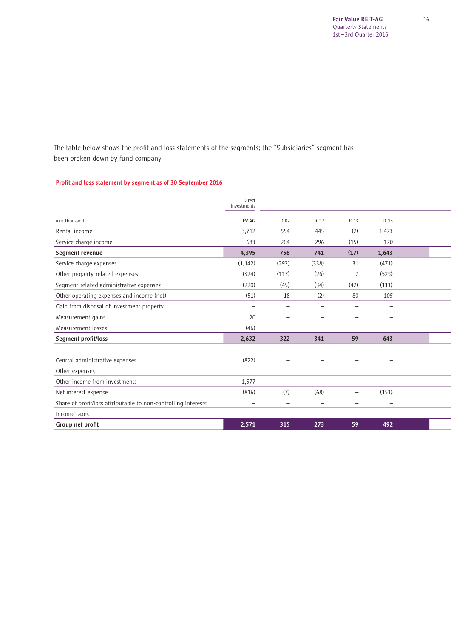The table below shows the profit and loss statements of the segments; the "Subsidiaries" segment has been broken down by fund company.

### Profit and loss statement by segment as of 30 September 2016

|                                                                | Direct<br>investments    |                          |                          |                          |                          |  |
|----------------------------------------------------------------|--------------------------|--------------------------|--------------------------|--------------------------|--------------------------|--|
| in € thousand                                                  | <b>FV AG</b>             | IC07                     | IC12                     | IC13                     | IC15                     |  |
| Rental income                                                  | 3,712                    | 554                      | 445                      | (2)                      | 1,473                    |  |
| Service charge income                                          | 683                      | 204                      | 296                      | (15)                     | 170                      |  |
| Segment revenue                                                | 4,395                    | 758                      | 741                      | (17)                     | 1,643                    |  |
| Service charge expenses                                        | (1, 142)                 | (292)                    | (338)                    | 31                       | (471)                    |  |
| Other property-related expenses                                | (324)                    | (117)                    | (26)                     | 7                        | (523)                    |  |
| Segment-related administrative expenses                        | (220)                    | (45)                     | (34)                     | (42)                     | (111)                    |  |
| Other operating expenses and income (net)                      | (51)                     | 18                       | (2)                      | 80                       | 105                      |  |
| Gain from disposal of investment property                      |                          | $\overline{\phantom{0}}$ | $\overline{\phantom{0}}$ | $\overline{\phantom{m}}$ | $\overline{\phantom{0}}$ |  |
| Measurement gains                                              | 20                       | $\overline{\phantom{0}}$ |                          |                          |                          |  |
| Measurement losses                                             | (46)                     | $\overline{\phantom{m}}$ | $\overline{\phantom{0}}$ | $\overline{\phantom{m}}$ | $\overline{\phantom{0}}$ |  |
| Segment profit/loss                                            | 2,632                    | 322                      | 341                      | 59                       | 643                      |  |
|                                                                |                          |                          |                          |                          |                          |  |
| Central administrative expenses                                | (822)                    |                          |                          |                          |                          |  |
| Other expenses                                                 | $\overline{\phantom{m}}$ | $\qquad \qquad -$        | $\overline{\phantom{0}}$ |                          |                          |  |
| Other income from investments                                  | 1,577                    | $\overline{\phantom{0}}$ |                          | -                        | $\overline{\phantom{0}}$ |  |
| Net interest expense                                           | (816)                    | (7)                      | (68)                     |                          | (151)                    |  |
| Share of profit/loss attributable to non-controlling interests | $\equiv$                 |                          |                          | $\overline{\phantom{m}}$ | $\qquad \qquad -$        |  |
| Income taxes                                                   |                          |                          |                          |                          | $\overline{\phantom{0}}$ |  |
| Group net profit                                               | 2,571                    | 315                      | 273                      | 59                       | 492                      |  |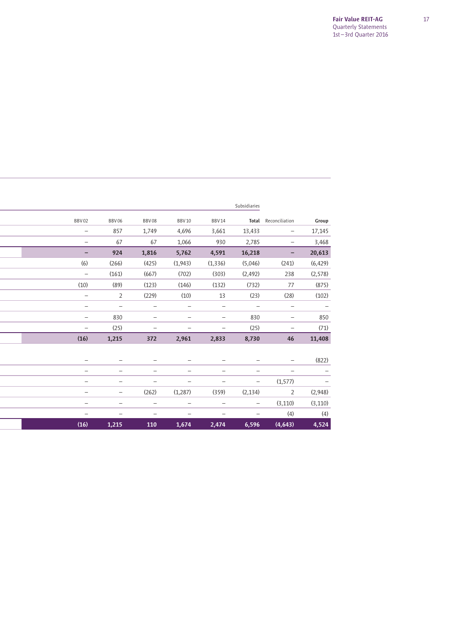|                          |                          |                          |                          |                          | Subsidiaries             |                          |          |
|--------------------------|--------------------------|--------------------------|--------------------------|--------------------------|--------------------------|--------------------------|----------|
| BBV02                    | BBV06                    | BBV08                    | <b>BBV10</b>             | <b>BBV14</b>             | Total                    | Reconciliation           | Group    |
| $\overline{\phantom{0}}$ | 857                      | 1,749                    | 4,696                    | 3,661                    | 13,433                   | -                        | 17,145   |
| -                        | 67                       | 67                       | 1,066                    | 930                      | 2,785                    | -                        | 3,468    |
|                          | 924                      | 1,816                    | 5,762                    | 4,591                    | 16,218                   | -                        | 20,613   |
| (6)                      | (266)                    | (425)                    | (1,943)                  | (1, 336)                 | (5,046)                  | (241)                    | (6, 429) |
| $\overline{\phantom{0}}$ | (161)                    | (667)                    | (702)                    | (303)                    | (2, 492)                 | 238                      | (2, 578) |
| (10)                     | (89)                     | (123)                    | (146)                    | (132)                    | (732)                    | 77                       | (875)    |
| $\overline{\phantom{0}}$ | $\overline{2}$           | (229)                    | (10)                     | 13                       | (23)                     | (28)                     | (102)    |
| -                        | $\overline{\phantom{0}}$ | $\overline{\phantom{0}}$ | $\overline{\phantom{0}}$ | $\qquad \qquad -$        | $\overline{\phantom{0}}$ | $\qquad \qquad -$        |          |
| —                        | 830                      |                          |                          |                          | 830                      | -                        | 850      |
| -                        | (25)                     |                          | $\overline{\phantom{0}}$ | $\qquad \qquad -$        | (25)                     | $\qquad \qquad -$        | (71)     |
| (16)                     | 1,215                    | 372                      | 2,961                    | 2,833                    | 8,730                    | 46                       | 11,408   |
|                          |                          |                          |                          |                          |                          |                          |          |
|                          |                          |                          |                          |                          |                          |                          | (822)    |
| $\overline{\phantom{0}}$ | $\overline{\phantom{0}}$ | $\overline{\phantom{0}}$ | $\overline{\phantom{0}}$ | $\overline{\phantom{0}}$ | $\overline{\phantom{0}}$ | $\overline{\phantom{0}}$ |          |
| -                        | $\overline{\phantom{0}}$ | $\overline{\phantom{0}}$ |                          | -                        | -                        | (1, 577)                 |          |
| -                        | -                        | (262)                    | (1,287)                  | (359)                    | (2, 134)                 | 2                        | (2,948)  |
| $\overline{\phantom{0}}$ | $\overline{\phantom{0}}$ | $\overline{\phantom{0}}$ |                          | $\overline{\phantom{0}}$ | $\qquad \qquad -$        | (3, 110)                 | (3, 110) |
| $\overline{\phantom{0}}$ | -                        |                          |                          | -                        | $\overline{\phantom{0}}$ | (4)                      | (4)      |
| (16)                     | 1,215                    | 110                      | 1,674                    | 2,474                    | 6,596                    | (4, 643)                 | 4,524    |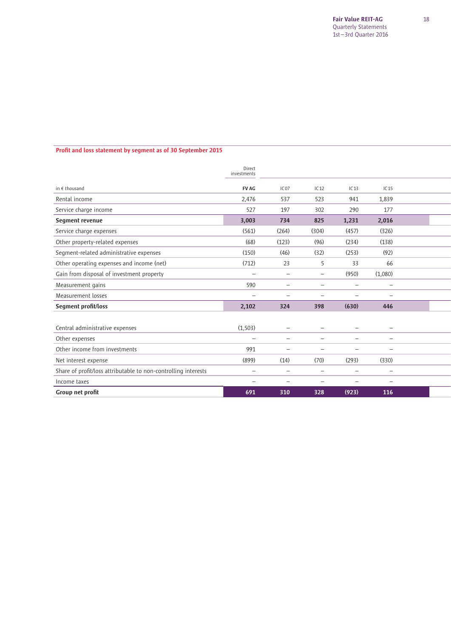### Profit and loss statement by segment as of 30 September 2015

|                                                                | Direct<br>investments    |                          |                          |                          |                          |  |
|----------------------------------------------------------------|--------------------------|--------------------------|--------------------------|--------------------------|--------------------------|--|
| in $f$ thousand                                                | <b>FV AG</b>             | IC07                     | IC12                     | IC13                     | IC15                     |  |
| Rental income                                                  | 2,476                    | 537                      | 523                      | 941                      | 1.839                    |  |
| Service charge income                                          | 527                      | 197                      | 302                      | 290                      | 177                      |  |
| Segment revenue                                                | 3,003                    | 734                      | 825                      | 1,231                    | 2,016                    |  |
| Service charge expenses                                        | (561)                    | (264)                    | (304)                    | (457)                    | (326)                    |  |
| Other property-related expenses                                | (68)                     | (123)                    | (96)                     | (234)                    | (138)                    |  |
| Segment-related administrative expenses                        | (150)                    | (46)                     | (32)                     | (253)                    | (92)                     |  |
| Other operating expenses and income (net)                      | (712)                    | 23                       | 5                        | 33                       | 66                       |  |
| Gain from disposal of investment property                      | $\overline{\phantom{0}}$ | $\overline{\phantom{0}}$ | $\overline{\phantom{0}}$ | (950)                    | (1,080)                  |  |
| Measurement gains                                              | 590                      |                          |                          |                          |                          |  |
| Measurement losses                                             |                          | $\overline{\phantom{0}}$ | $\overline{\phantom{0}}$ | $\overline{\phantom{0}}$ | $\overline{\phantom{0}}$ |  |
| Segment profit/loss                                            | 2,102                    | 324                      | 398                      | (630)                    | 446                      |  |
|                                                                |                          |                          |                          |                          |                          |  |
| Central administrative expenses                                | (1, 503)                 |                          |                          |                          |                          |  |
| Other expenses                                                 | $\overline{\phantom{0}}$ | $\overline{\phantom{0}}$ | $\overline{\phantom{0}}$ | $\overline{\phantom{0}}$ | $\overline{\phantom{0}}$ |  |
| Other income from investments                                  | 991                      | -                        |                          | ۳                        | -                        |  |
| Net interest expense                                           | (899)                    | (14)                     | (70)                     | (293)                    | (330)                    |  |
| Share of profit/loss attributable to non-controlling interests | -                        | $\overline{\phantom{0}}$ | $\overline{\phantom{0}}$ | $\overline{\phantom{0}}$ | $\overline{\phantom{0}}$ |  |
| Income taxes                                                   |                          | $\overline{\phantom{0}}$ |                          |                          | $\overline{\phantom{0}}$ |  |
| Group net profit                                               | 691                      | 310                      | 328                      | (923)                    | 116                      |  |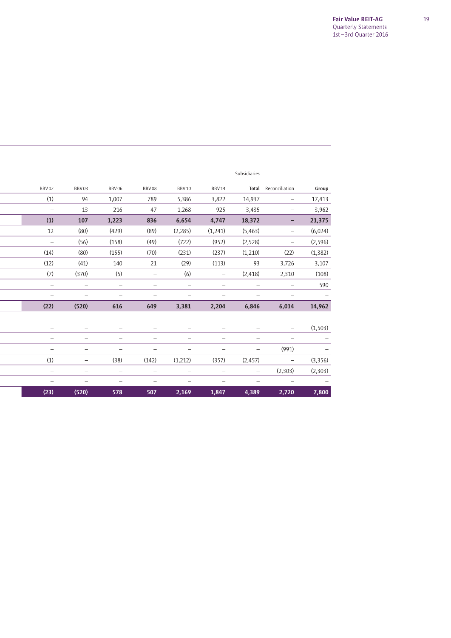|                          |                          |                          |                          |                          |                          | Subsidiaries             |                          |          |
|--------------------------|--------------------------|--------------------------|--------------------------|--------------------------|--------------------------|--------------------------|--------------------------|----------|
| BBV02                    | BBV03                    | <b>BBV06</b>             | <b>BBV08</b>             | <b>BBV10</b>             | <b>BBV14</b>             | Total                    | Reconciliation           | Group    |
|                          |                          |                          |                          |                          |                          |                          |                          |          |
| (1)                      | 94                       | 1,007                    | 789                      | 5,386                    | 3,822                    | 14,937                   |                          | 17,413   |
| $\overline{\phantom{0}}$ | 13                       | 216                      | 47                       | 1,268                    | 925                      | 3,435                    | -                        | 3,962    |
| (1)                      | 107                      | 1,223                    | 836                      | 6,654                    | 4,747                    | 18,372                   | -                        | 21,375   |
| 12                       | (80)                     | (429)                    | (89)                     | (2,285)                  | (1,241)                  | (5, 463)                 | -                        | (6,024)  |
|                          | (56)                     | (158)                    | (49)                     | (722)                    | (952)                    | (2,528)                  | -                        | (2, 596) |
| (14)                     | (80)                     | (155)                    | (70)                     | (231)                    | (237)                    | (1,210)                  | (22)                     | (1, 382) |
| (12)                     | (41)                     | 140                      | 21                       | (29)                     | (113)                    | 93                       | 3,726                    | 3,107    |
| (7)                      | (370)                    | (5)                      | $\overline{\phantom{m}}$ | (6)                      | $\qquad \qquad -$        | (2, 418)                 | 2,310                    | (108)    |
| $\overline{\phantom{0}}$ |                          | $\overline{\phantom{0}}$ | $\overline{\phantom{0}}$ | $\overline{\phantom{0}}$ | $\overline{\phantom{0}}$ |                          |                          | 590      |
| -                        |                          |                          |                          |                          |                          |                          |                          |          |
| (22)                     | (520)                    | 616                      | 649                      | 3,381                    | 2,204                    | 6,846                    | 6,014                    | 14,962   |
|                          |                          |                          |                          |                          |                          |                          |                          |          |
| -                        |                          |                          |                          |                          |                          |                          |                          | (1, 503) |
| $\overline{\phantom{0}}$ | $\overline{\phantom{0}}$ | $\overline{\phantom{0}}$ | $\overline{\phantom{0}}$ | -                        | $\overline{\phantom{0}}$ | -                        | $\qquad \qquad -$        |          |
| $\overline{\phantom{0}}$ | $\overline{\phantom{0}}$ | -                        |                          | -                        | -                        | $\overline{\phantom{0}}$ | (991)                    |          |
| (1)                      |                          | (38)                     | (142)                    | (1,212)                  | (357)                    | (2, 457)                 | $\overline{\phantom{m}}$ | (3, 356) |
| $\overline{\phantom{0}}$ | $\overline{\phantom{0}}$ | $\overline{\phantom{0}}$ |                          | $\overline{\phantom{0}}$ | $\overline{\phantom{0}}$ | $\overline{\phantom{0}}$ | (2,303)                  | (2,303)  |
| -                        |                          |                          |                          |                          |                          |                          | $\qquad \qquad -$        |          |
| (23)                     | (520)                    | 578                      | 507                      | 2,169                    | 1,847                    | 4,389                    | 2,720                    | 7,800    |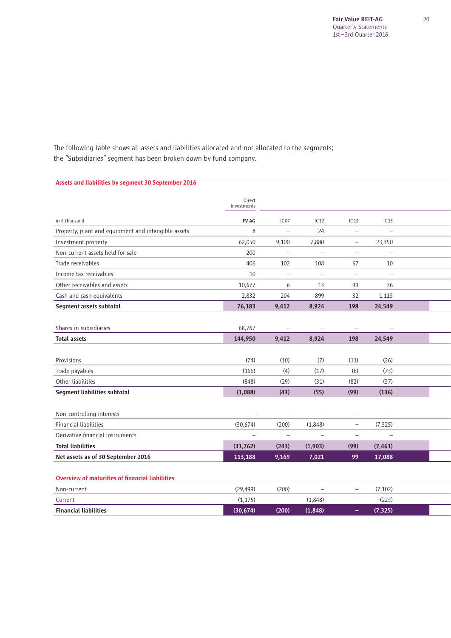The following table shows all assets and liabilities allocated and not allocated to the segments; the "Subsidiaries" segment has been broken down by fund company.

### Assets and liabilities by segment 30 September 2016

|                                                        | Direct<br>investments |                          |                          |                          |                          |  |
|--------------------------------------------------------|-----------------------|--------------------------|--------------------------|--------------------------|--------------------------|--|
| in $\epsilon$ thousand                                 | <b>FV AG</b>          | IC <sub>07</sub>         | IC12                     | IC <sub>13</sub>         | IC <sub>15</sub>         |  |
| Property, plant and equipment and intangible assets    | 8                     | $\overline{\phantom{0}}$ | 24                       | $\qquad \qquad -$        |                          |  |
| Investment property                                    | 62,050                | 9,100                    | 7,880                    | -                        | 23,350                   |  |
|                                                        |                       |                          |                          |                          |                          |  |
| Non-current assets held for sale                       | 200                   | $\overline{\phantom{m}}$ | $\qquad \qquad -$        | $\qquad \qquad -$        | $\overline{\phantom{0}}$ |  |
| Trade receivables                                      | 406                   | 102                      | 108                      | 67                       | 10                       |  |
| Income tax receivables                                 | 10                    | $\overline{\phantom{0}}$ | $\overline{\phantom{0}}$ | $\overline{\phantom{0}}$ |                          |  |
| Other receivables and assets                           | 10,677                | 6                        | 13                       | 99                       | 76                       |  |
| Cash and cash equivalents                              | 2,832                 | 204                      | 899                      | 32                       | 1,113                    |  |
| Segment assets subtotal                                | 76,183                | 9,412                    | 8,924                    | 198                      | 24,549                   |  |
|                                                        |                       |                          |                          |                          |                          |  |
| Shares in subsidiaries                                 | 68,767                | $\qquad \qquad -$        | $\qquad \qquad -$        | $\qquad \qquad -$        |                          |  |
| <b>Total assets</b>                                    | 144,950               | 9,412                    | 8,924                    | 198                      | 24,549                   |  |
|                                                        |                       |                          |                          |                          |                          |  |
| Provisions                                             | (74)                  | (10)                     | (7)                      | (11)                     | (26)                     |  |
| Trade payables                                         | (166)                 | (4)                      | (17)                     | (6)                      | (73)                     |  |
| Other liabilities                                      | (848)                 | (29)                     | (31)                     | (82)                     | (37)                     |  |
| Segment liabilities subtotal                           | (1,088)               | (43)                     | (55)                     | (99)                     | (136)                    |  |
|                                                        |                       |                          |                          |                          |                          |  |
| Non-controlling interests                              |                       | $\qquad \qquad -$        | $\overline{\phantom{0}}$ | $\qquad \qquad -$        |                          |  |
| <b>Financial liabilities</b>                           | (30, 674)             | (200)                    | (1,848)                  | $\qquad \qquad -$        | (7, 325)                 |  |
| Derivative financial instruments                       |                       | -                        | -                        | -                        |                          |  |
| <b>Total liabilities</b>                               | (31, 762)             | (243)                    | (1,903)                  | (99)                     | (7, 461)                 |  |
| Net assets as of 30 September 2016                     | 113,188               | 9,169                    | 7,021                    | 99                       | 17,088                   |  |
|                                                        |                       |                          |                          |                          |                          |  |
| <b>Overview of maturities of financial liabilities</b> |                       |                          |                          |                          |                          |  |

| Non-current                  | (29,499)  | (200)             | $\qquad \qquad$ |                          | (7,102)  |  |
|------------------------------|-----------|-------------------|-----------------|--------------------------|----------|--|
| Current                      | (1,175)   | $\qquad \qquad -$ | (1.848)         | $\overline{\phantom{0}}$ | (223)    |  |
| <b>Financial liabilities</b> | (30, 674) | (200)             | (1, 848)        | $\overline{\phantom{a}}$ | (7, 325) |  |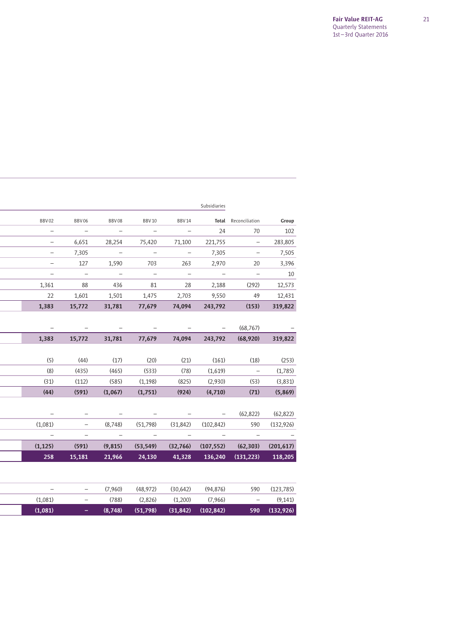|                   |                          |             |                         |                                            | Subsidiaries |                                                                    |               |
|-------------------|--------------------------|-------------|-------------------------|--------------------------------------------|--------------|--------------------------------------------------------------------|---------------|
| BBV02             | <b>BBV06</b>             | BBV08       | <b>BBV10</b>            | BBV 14                                     | Total        | Reconciliation                                                     | Group         |
|                   | $\sim$ $-$               | $\sim$ $-$  |                         | $\sim$ $-$                                 | 24           | 70                                                                 | 102           |
|                   | 6,651                    |             | 28,254 75,420           | 71,100                                     | 221,755      | $\overline{\phantom{a}}$                                           | 283,805       |
|                   | 7,305                    |             |                         | $\overline{\phantom{m}}$                   | 7,305        |                                                                    | 7,505         |
| $\qquad \qquad -$ | 127                      | 1,590       | 703                     | 263                                        | 2,970        | 20                                                                 | 3,396         |
| $\qquad \qquad -$ | $\overline{\phantom{0}}$ | $\sim$      | $\sim$ $-$              | $\hspace{0.1cm} -$                         | $\sim$ $-$   | $\qquad \qquad -$                                                  | 10            |
| 1,361             | 88                       | 436         | 81                      | 28                                         | 2,188        | (292)                                                              | 12,573        |
| 22                | 1,601                    |             |                         | 1,501 1,475 2,703                          | 9,550        | 49                                                                 | 12,431        |
| 1,383             | 15,772                   | 31,781      | 77,679                  | 74,094                                     | 243,792      | (153)                                                              | 319,822       |
|                   |                          |             |                         |                                            |              |                                                                    |               |
|                   |                          |             |                         |                                            | $\sim$       | (68, 767)                                                          |               |
| 1,383             | 15,772                   |             | 31,781 77,679           | 74,094                                     |              | 243,792 (68,920)                                                   | 319,822       |
|                   |                          |             |                         |                                            |              |                                                                    |               |
| (5)               | (44)                     | (17)        | (20)                    | (21)                                       | (161)        | (18)                                                               | (253)         |
| (8)               | (435)                    | (465)       | (533)                   | (78)                                       | (1,619)      | $\sim$ $-$                                                         | (1,785)       |
| (31)              | (112)                    | (585)       | (1, 198)                | (825)                                      | (2,930)      | (53)                                                               | (3,831)       |
| (44)              | (591)                    | (1,067)     | (1,751)                 | (924)                                      | (4,710)      | (71)                                                               | (5,869)       |
|                   |                          |             |                         |                                            |              |                                                                    |               |
|                   |                          |             |                         |                                            | $ \,$        | (62, 822)                                                          | (62, 822)     |
| (1,081)           |                          | (8,748)     | (51,798)                | $(31,842)$ $(102,842)$                     |              | 590                                                                | (132, 926)    |
| $\sim$ $-$        | $\overline{\phantom{0}}$ | $\sim$ $ -$ | $\sim 100$ km s $^{-1}$ | $\sim 1000$ $-$                            | $\sim$       | $\sim$ $-$                                                         |               |
|                   | $(1,125)$ $(591)$        |             |                         |                                            |              | $(9,815)$ $(53,549)$ $(32,766)$ $(107,552)$ $(62,303)$ $(201,617)$ |               |
| 258               | 15,181                   | 21,966      | 24,130                  | 41,328                                     | 136,240      | (131, 223)                                                         | 118,205       |
|                   |                          |             |                         |                                            |              |                                                                    |               |
|                   |                          |             |                         |                                            |              |                                                                    |               |
|                   |                          |             |                         | $(7,960)$ $(48,972)$ $(30,642)$ $(94,876)$ |              |                                                                    | 590 (123,785) |
| (1,081)           |                          | (788)       | (2,826)                 | (1,200)                                    | (7,966)      | $\qquad \qquad -$                                                  | (9, 141)      |

 $(1,081)$  –  $(8,748)$   $(51,798)$   $(31,842)$   $(102,842)$  590  $(132,926)$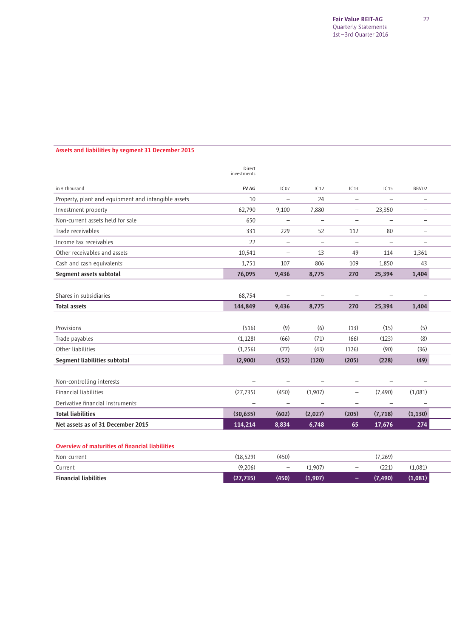### Assets and liabilities by segment 31 December 2015

|                                                        | Direct<br>investments |                          |                          |                          |                          |                          |  |
|--------------------------------------------------------|-----------------------|--------------------------|--------------------------|--------------------------|--------------------------|--------------------------|--|
| in $\epsilon$ thousand                                 | <b>FV AG</b>          | IC07                     | IC12                     | IC <sub>13</sub>         | IC <sub>15</sub>         | BBV02                    |  |
| Property, plant and equipment and intangible assets    | 10                    | $\overline{\phantom{0}}$ | 24                       | $\overline{\phantom{0}}$ | $\overline{\phantom{m}}$ | -                        |  |
| Investment property                                    | 62,790                | 9,100                    | 7,880                    | -                        | 23,350                   | $\overline{\phantom{0}}$ |  |
| Non-current assets held for sale                       | 650                   | $\qquad \qquad -$        | $\equiv$                 | $\qquad \qquad -$        | $\overline{\phantom{m}}$ | -                        |  |
| Trade receivables                                      | 331                   | 229                      | 52                       | 112                      | 80                       | -                        |  |
| Income tax receivables                                 | 22                    | $\qquad \qquad -$        | $\overline{\phantom{0}}$ | $\overline{\phantom{m}}$ | $\overline{\phantom{0}}$ | $\overline{\phantom{0}}$ |  |
| Other receivables and assets                           | 10,541                | $\qquad \qquad -$        | 13                       | 49                       | 114                      | 1,361                    |  |
| Cash and cash equivalents                              | 1,751                 | 107                      | 806                      | 109                      | 1,850                    | 43                       |  |
| Segment assets subtotal                                | 76,095                | 9,436                    | 8,775                    | 270                      | 25,394                   | 1,404                    |  |
|                                                        |                       |                          |                          |                          |                          |                          |  |
| Shares in subsidiaries                                 | 68,754                |                          |                          |                          |                          |                          |  |
| <b>Total assets</b>                                    | 144,849               | 9,436                    | 8,775                    | 270                      | 25,394                   | 1,404                    |  |
|                                                        |                       |                          |                          |                          |                          |                          |  |
| Provisions                                             | (516)                 | (9)                      | (6)                      | (13)                     | (15)                     | (5)                      |  |
| Trade payables                                         | (1, 128)              | (66)                     | (71)                     | (66)                     | (123)                    | (8)                      |  |
| Other liabilities                                      | (1,256)               | (77)                     | (43)                     | (126)                    | (90)                     | (36)                     |  |
| Segment liabilities subtotal                           | (2,900)               | (152)                    | (120)                    | (205)                    | (228)                    | (49)                     |  |
|                                                        |                       |                          |                          |                          |                          |                          |  |
| Non-controlling interests                              |                       |                          |                          | $\qquad \qquad -$        |                          |                          |  |
| <b>Financial liabilities</b>                           | (27, 735)             | (450)                    | (1,907)                  | $\qquad \qquad -$        | (7, 490)                 | (1,081)                  |  |
| Derivative financial instruments                       | -                     | $\overline{\phantom{0}}$ | $\qquad \qquad -$        | $\qquad \qquad -$        | $\overline{\phantom{0}}$ |                          |  |
| <b>Total liabilities</b>                               | (30, 635)             | (602)                    | (2,027)                  | (205)                    | (7, 718)                 | (1, 130)                 |  |
| Net assets as of 31 December 2015                      | 114,214               | 8,834                    | 6,748                    | 65                       | 17,676                   | 274                      |  |
|                                                        |                       |                          |                          |                          |                          |                          |  |
| <b>Overview of maturities of financial liabilities</b> |                       |                          |                          |                          |                          |                          |  |
| Non-current                                            | (18, 529)             | (450)                    | $\qquad \qquad -$        | $\overline{\phantom{0}}$ | (7,269)                  | $\overline{\phantom{m}}$ |  |
| Current                                                | (9,206)               | $\overline{\phantom{0}}$ | (1,907)                  | $\overline{\phantom{0}}$ | (221)                    | (1,081)                  |  |
| <b>Financial liabilities</b>                           | (27, 735)             | (450)                    | (1,907)                  | -                        | (7, 490)                 | (1,081)                  |  |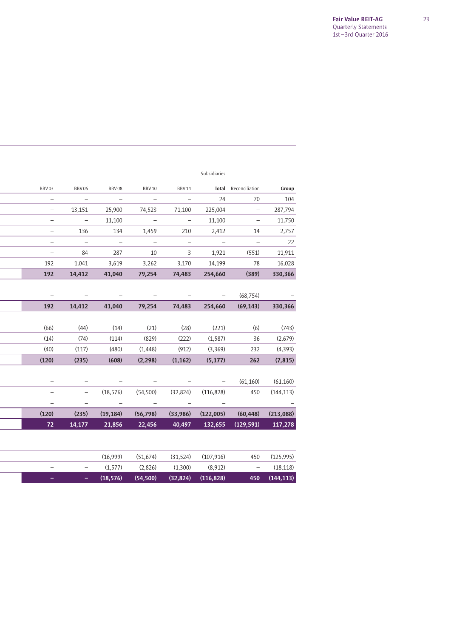|                          |                          |                |                         |                          | Subsidiaries                               |                          |            |
|--------------------------|--------------------------|----------------|-------------------------|--------------------------|--------------------------------------------|--------------------------|------------|
| BBV03                    | <b>BBV06</b>             | <b>BBV08</b>   | <b>BBV10</b>            | <b>BBV 14</b>            | Total                                      | Reconciliation           | Group      |
|                          | $\sim$ $-$               |                |                         | $\overline{\phantom{m}}$ | 24                                         | 70                       | 104        |
|                          | 13,151                   | 25,900         | 74,523                  | 71,100                   | 225,004                                    | $\overline{\phantom{0}}$ | 287,794    |
|                          | $\qquad \qquad -$        | 11,100         |                         | $\qquad \qquad -$        | 11,100                                     |                          | 11,750     |
|                          | 136                      | 134            | 1,459                   | 210                      | 2,412                                      | 14                       | 2,757      |
|                          | $\overline{\phantom{a}}$ | $\sim$ $-$     | $\overline{a}$          | $\overline{\phantom{a}}$ | $\overline{\phantom{a}}$                   | $\overline{\phantom{0}}$ | 22         |
| $\overline{\phantom{0}}$ | 84                       | 287            | 10                      | $\overline{3}$           | 1,921                                      | (551)                    | 11,911     |
| 192                      | 1,041                    | 3,619          | 3,262                   | 3,170                    | 14,199                                     | 78                       | 16,028     |
| 192                      | 14,412                   | 41,040         | 79,254                  | 74,483                   | 254,660                                    | (389)                    | 330,366    |
|                          |                          |                |                         |                          |                                            |                          |            |
|                          |                          |                |                         |                          |                                            | (68, 754)                |            |
| 192                      | 14,412                   | 41,040         | 79,254                  | 74,483                   | 254,660                                    | (69, 143)                | 330,366    |
|                          |                          |                |                         |                          |                                            |                          |            |
| (66)                     | (44)                     | (14)           | (21)                    | (28)                     | (221)                                      | (6)                      | (743)      |
| (14)                     | (74)                     | (114)          | (829)                   | (222)                    | (1, 587)                                   | 36                       | (2,679)    |
| (40)                     | (117)                    | (480)          | (1, 448)                | (912)                    | (3,369)                                    | 232                      | (4,393)    |
| (120)                    | (235)                    | (608)          | (2, 298)                | (1, 162)                 | (5, 177)                                   | 262                      | (7, 815)   |
|                          |                          |                |                         |                          |                                            |                          |            |
|                          |                          |                | $\sim$ $ -$             |                          | and the state of the state of the state of | (61, 160)                | (61, 160)  |
|                          |                          | (18, 576)      | (54, 500)               |                          | $(32,824)$ $(116,828)$                     | 450                      | (144, 113) |
| $\qquad \qquad -$        | $\qquad \qquad -$        | $\sim$ 100 $-$ | $\sim 100$ km s $^{-1}$ | $\sim$ $-$               | $\overline{\phantom{m}}$                   |                          |            |
| (120)                    | (235)                    | (19, 184)      | (56, 798)               | (33,986)                 |                                            | $(122,005)$ $(60,448)$   | (213,088)  |
| 72                       | 14,177                   | 21,856         | 22,456                  | 40,497                   | 132,655                                    | (129, 591)               | 117,278    |
|                          |                          |                |                         |                          |                                            |                          |            |
|                          | -                        | (16,999)       | (51, 674)               |                          | $(31,524)$ $(107,916)$                     | 450                      | (125, 995) |
|                          |                          | (1,577)        | (2,826)                 | (1,300)                  | (8, 912)                                   | $\overline{\phantom{m}}$ | (18, 118)  |
|                          | -                        | (18, 576)      | (54, 500)               | (32, 824)                | (116, 828)                                 | 450                      | (144, 113) |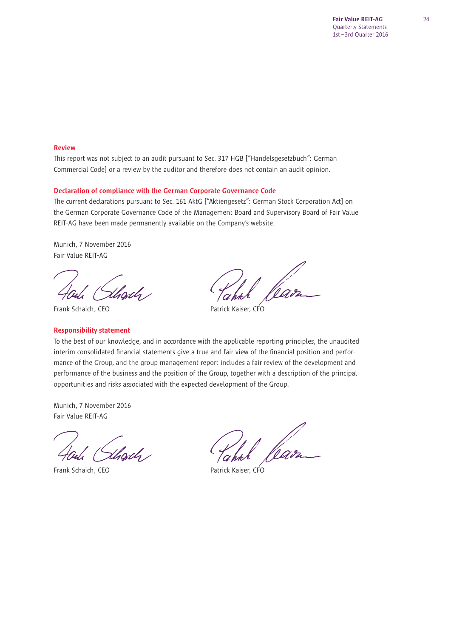#### Review

This report was not subject to an audit pursuant to Sec. 317 HGB ["Handelsgesetzbuch": German Commercial Code] or a review by the auditor and therefore does not contain an audit opinion.

#### Declaration of compliance with the German Corporate Governance Code

The current declarations pursuant to Sec. 161 AktG ["Aktiengesetz": German Stock Corporation Act] on the German Corporate Governance Code of the Management Board and Supervisory Board of Fair Value REIT-AG have been made permanently available on the Company's website.

Munich, 7 November 2016 Fair Value REIT-AG

Frank Schaich, CEO **Patrick Kaiser, CFO** 

### Responsibility statement

To the best of our knowledge, and in accordance with the applicable reporting principles, the unaudited interim consolidated financial statements give a true and fair view of the financial position and performance of the Group, and the group management report includes a fair review of the development and performance of the business and the position of the Group, together with a description of the principal opportunities and risks associated with the expected development of the Group.

Munich, 7 November 2016 Fair Value REIT-AG

,<br>Uhodh

Frank Schaich. CEO **Patrick Kaiser, CFO**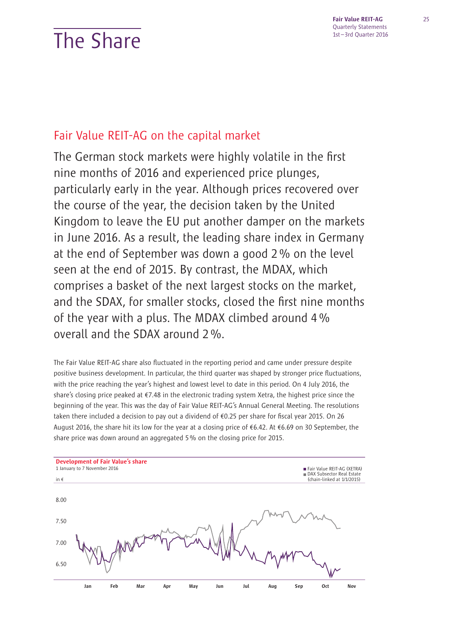# The Share

Fair Value REIT-AG Quarterly Statements 1st – 3rd Quarter 2016

## Fair Value REIT-AG on the capital market

The German stock markets were highly volatile in the first nine months of 2016 and experienced price plunges, particularly early in the year. Although prices recovered over the course of the year, the decision taken by the United Kingdom to leave the EU put another damper on the markets in June 2016. As a result, the leading share index in Germany at the end of September was down a good 2 % on the level seen at the end of 2015. By contrast, the MDAX, which comprises a basket of the next largest stocks on the market, and the SDAX, for smaller stocks, closed the first nine months of the year with a plus. The MDAX climbed around 4 % overall and the SDAX around 2 %.

The Fair Value REIT-AG share also fluctuated in the reporting period and came under pressure despite positive business development. In particular, the third quarter was shaped by stronger price fluctuations, with the price reaching the year's highest and lowest level to date in this period. On 4 July 2016, the share's closing price peaked at €7.48 in the electronic trading system Xetra, the highest price since the beginning of the year. This was the day of Fair Value REIT-AG's Annual General Meeting. The resolutions taken there included a decision to pay out a dividend of  $€0.25$  per share for fiscal year 2015. On 26 August 2016, the share hit its low for the year at a closing price of €6.42. At €6.69 on 30 September, the share price was down around an aggregated 5 % on the closing price for 2015.

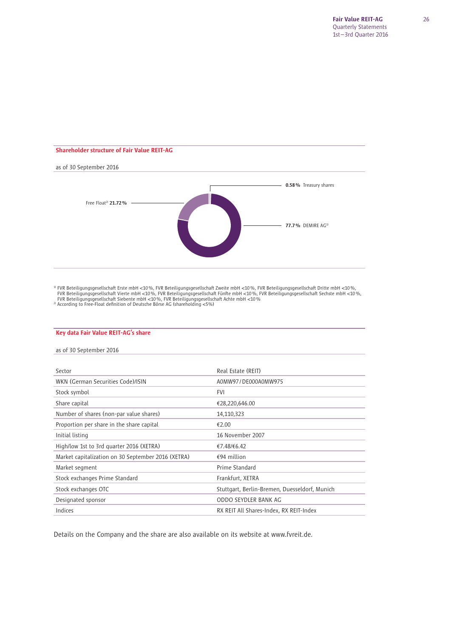## Shareholder structure of Fair Value REIT-AG as of 30 September 2016 0.58% Treasury shares  $\overline{\phantom{a}}$ Free Float<sup>2)</sup>  $21.72%$ 77.7% DEMIRE AG1)

<sup>3)</sup> FVR Beteiligungsgesellschaft Erste mbH <10%, FVR Beteiligungsgesellschaft Zweite mbH <10%, FVR Beteiligungsgesellschaft Dritte mbH <10%,  $\sim$  FVR Beteiligungsgesellschaft Dritte mbH <10%,  $\sim$  FVR Beteiligungsgesells

#### Key data Fair Value REIT-AG's share

as of 30 September 2016

| Sector                                             | Real Estate (REIT)                            |
|----------------------------------------------------|-----------------------------------------------|
| WKN (German Securities Code)/ISIN                  | A0MW97/DE000A0MW975                           |
| Stock symbol                                       | <b>FVI</b>                                    |
| Share capital                                      | €28,220,646.00                                |
| Number of shares (non-par value shares)            | 14,110,323                                    |
| Proportion per share in the share capital          | €2.00                                         |
| Initial listing                                    | 16 November 2007                              |
| High/low 1st to 3rd quarter 2016 (XETRA)           | €7.48/€6.42                                   |
| Market capitalization on 30 September 2016 (XETRA) | $€94$ million                                 |
| Market segment                                     | Prime Standard                                |
| Stock exchanges Prime Standard                     | Frankfurt, XETRA                              |
| Stock exchanges OTC                                | Stuttgart, Berlin-Bremen, Duesseldorf, Munich |
| Designated sponsor                                 | ODDO SEYDLER BANK AG                          |
| Indices                                            | RX REIT All Shares-Index, RX REIT-Index       |

Details on the Company and the share are also available on its website at www.fvreit.de.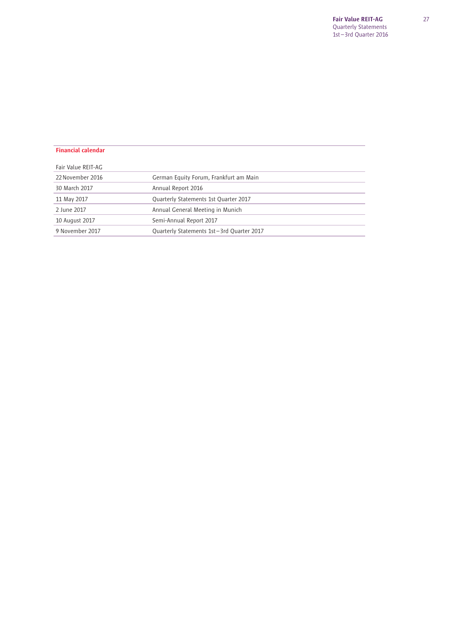| <b>Financial calendar</b> |                                           |  |
|---------------------------|-------------------------------------------|--|
| Fair Value REIT-AG        |                                           |  |
| 22 November 2016          | German Equity Forum, Frankfurt am Main    |  |
| 30 March 2017             | Annual Report 2016                        |  |
| 11 May 2017               | Quarterly Statements 1st Quarter 2017     |  |
| 2 June 2017               | Annual General Meeting in Munich          |  |
| 10 August 2017            | Semi-Annual Report 2017                   |  |
| 9 November 2017           | Quarterly Statements 1st-3rd Quarter 2017 |  |